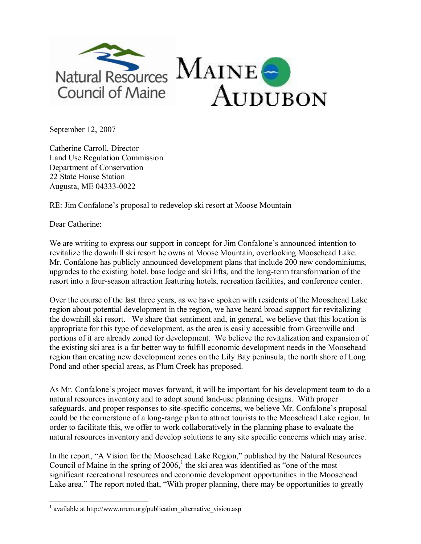

September 12, 2007

Catherine Carroll, Director Land Use Regulation Commission Department of Conservation 22 State House Station Augusta, ME 04333-0022

RE: Jim Confalone's proposal to redevelop ski resort at Moose Mountain

Dear Catherine:

We are writing to express our support in concept for Jim Confalone's announced intention to revitalize the downhill ski resort he owns at Moose Mountain, overlooking Moosehead Lake. Mr. Confalone has publicly announced development plans that include 200 new condominiums, upgrades to the existing hotel, base lodge and ski lifts, and the long-term transformation of the resort into a fourseason attraction featuring hotels, recreation facilities, and conference center.

Over the course of the last three years, as we have spoken with residents of the Moosehead Lake region about potential development in the region, we have heard broad support for revitalizing the downhill ski resort. We share that sentiment and, in general, we believe that this location is appropriate for this type of development, as the area is easily accessible from Greenville and portions of it are already zoned for development. We believe the revitalization and expansion of the existing ski area is a far better way to fulfill economic development needs in the Moosehead region than creating new development zones on the Lily Bay peninsula, the north shore of Long Pond and other special areas, as Plum Creek has proposed.

As Mr. Confalone's project moves forward, it will be important for his development team to do a natural resources inventory and to adopt sound land-use planning designs. With proper safeguards, and proper responses to site-specific concerns, we believe Mr. Confalone's proposal could be the cornerstone of a long-range plan to attract tourists to the Moosehead Lake region. In order to facilitate this, we offer to work collaboratively in the planning phase to evaluate the natural resources inventory and develop solutions to any site specific concerns which may arise.

In the report, "A Vision for the Moosehead Lake Region," published by the Natural Resources Council of Maine in the spring of  $2006<sup>1</sup>$ , the ski area was identified as "one of the most significant recreational resources and economic development opportunities in the Moosehead Lake area." The report noted that, "With proper planning, there may be opportunities to greatly

 $1$  available at http://www.nrcm.org/publication\_alternative\_vision.asp